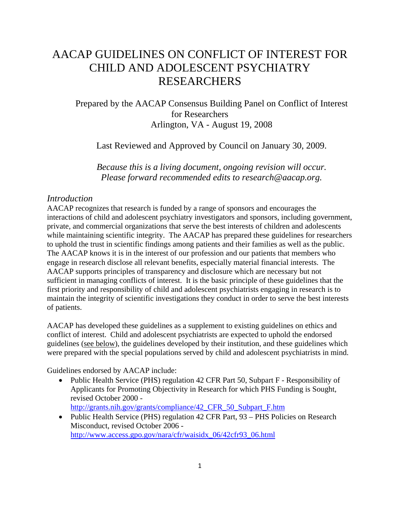# AACAP GUIDELINES ON CONFLICT OF INTEREST FOR CHILD AND ADOLESCENT PSYCHIATRY RESEARCHERS

## Prepared by the AACAP Consensus Building Panel on Conflict of Interest for Researchers Arlington, VA - August 19, 2008

Last Reviewed and Approved by Council on January 30, 2009.

*Because this is a living document, ongoing revision will occur. Please forward recommended edits to research@aacap.org.* 

#### *Introduction*

AACAP recognizes that research is funded by a range of sponsors and encourages the interactions of child and adolescent psychiatry investigators and sponsors, including government, private, and commercial organizations that serve the best interests of children and adolescents while maintaining scientific integrity. The AACAP has prepared these guidelines for researchers to uphold the trust in scientific findings among patients and their families as well as the public. The AACAP knows it is in the interest of our profession and our patients that members who engage in research disclose all relevant benefits, especially material financial interests. The AACAP supports principles of transparency and disclosure which are necessary but not sufficient in managing conflicts of interest. It is the basic principle of these guidelines that the first priority and responsibility of child and adolescent psychiatrists engaging in research is to maintain the integrity of scientific investigations they conduct in order to serve the best interests of patients.

AACAP has developed these guidelines as a supplement to existing guidelines on ethics and conflict of interest. Child and adolescent psychiatrists are expected to uphold the endorsed guidelines (see below), the guidelines developed by their institution, and these guidelines which were prepared with the special populations served by child and adolescent psychiatrists in mind.

Guidelines endorsed by AACAP include:

• Public Health Service (PHS) regulation 42 CFR Part 50, Subpart F - Responsibility of Applicants for Promoting Objectivity in Research for which PHS Funding is Sought, revised October 2000 -

http://grants.nih.gov/grants/compliance/42\_CFR\_50\_Subpart\_F.htm

• Public Health Service (PHS) regulation 42 CFR Part, 93 – PHS Policies on Research Misconduct, revised October 2006 http://www.access.gpo.gov/nara/cfr/waisidx\_06/42cfr93\_06.html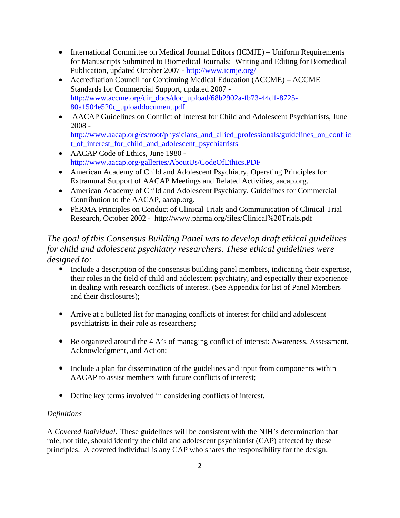- International Committee on Medical Journal Editors (ICMJE) Uniform Requirements for Manuscripts Submitted to Biomedical Journals: Writing and Editing for Biomedical Publication, updated October 2007 - http://www.icmje.org/
- Accreditation Council for Continuing Medical Education (ACCME) ACCME Standards for Commercial Support, updated 2007 http://www.accme.org/dir\_docs/doc\_upload/68b2902a-fb73-44d1-8725- 80a1504e520c\_uploaddocument.pdf
- AACAP Guidelines on Conflict of Interest for Child and Adolescent Psychiatrists, June 2008 http://www.aacap.org/cs/root/physicians\_and\_allied\_professionals/guidelines\_on\_conflic
- t\_of\_interest\_for\_child\_and\_adolescent\_psychiatrists • AACAP Code of Ethics, June 1980 http://www.aacap.org/galleries/AboutUs/CodeOfEthics.PDF
- American Academy of Child and Adolescent Psychiatry, Operating Principles for Extramural Support of AACAP Meetings and Related Activities, aacap.org.
- American Academy of Child and Adolescent Psychiatry, Guidelines for Commercial Contribution to the AACAP, aacap.org.
- PhRMA Principles on Conduct of Clinical Trials and Communication of Clinical Trial Research, October 2002 - http://www.phrma.org/files/Clinical%20Trials.pdf

## *The goal of this Consensus Building Panel was to develop draft ethical guidelines for child and adolescent psychiatry researchers. These ethical guidelines were designed to:*

- Include a description of the consensus building panel members, indicating their expertise, their roles in the field of child and adolescent psychiatry, and especially their experience in dealing with research conflicts of interest. (See Appendix for list of Panel Members and their disclosures);
- Arrive at a bulleted list for managing conflicts of interest for child and adolescent psychiatrists in their role as researchers;
- Be organized around the 4 A's of managing conflict of interest: Awareness, Assessment, Acknowledgment, and Action;
- Include a plan for dissemination of the guidelines and input from components within AACAP to assist members with future conflicts of interest;
- Define key terms involved in considering conflicts of interest.

## *Definitions*

A *Covered Individual:* These guidelines will be consistent with the NIH's determination that role, not title, should identify the child and adolescent psychiatrist (CAP) affected by these principles. A covered individual is any CAP who shares the responsibility for the design,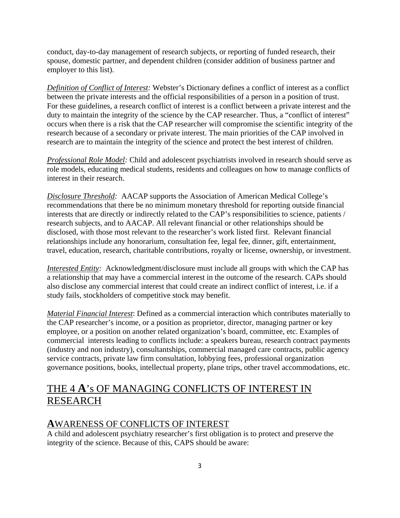conduct, day-to-day management of research subjects, or reporting of funded research, their spouse, domestic partner, and dependent children (consider addition of business partner and employer to this list).

*Definition of Conflict of Interest:* Webster's Dictionary defines a conflict of interest as a conflict between the private interests and the official responsibilities of a person in a position of trust. For these guidelines, a research conflict of interest is a conflict between a private interest and the duty to maintain the integrity of the science by the CAP researcher. Thus, a "conflict of interest" occurs when there is a risk that the CAP researcher will compromise the scientific integrity of the research because of a secondary or private interest. The main priorities of the CAP involved in research are to maintain the integrity of the science and protect the best interest of children.

*Professional Role Model:* Child and adolescent psychiatrists involved in research should serve as role models, educating medical students, residents and colleagues on how to manage conflicts of interest in their research.

*Disclosure Threshold:* AACAP supports the Association of American Medical College's recommendations that there be no minimum monetary threshold for reporting outside financial interests that are directly or indirectly related to the CAP's responsibilities to science, patients / research subjects, and to AACAP. All relevant financial or other relationships should be disclosed, with those most relevant to the researcher's work listed first. Relevant financial relationships include any honorarium, consultation fee, legal fee, dinner, gift, entertainment, travel, education, research, charitable contributions, royalty or license, ownership, or investment.

*Interested Entity:* Acknowledgment/disclosure must include all groups with which the CAP has a relationship that may have a commercial interest in the outcome of the research. CAPs should also disclose any commercial interest that could create an indirect conflict of interest, i.e. if a study fails, stockholders of competitive stock may benefit.

*Material Financial Interest*: Defined as a commercial interaction which contributes materially to the CAP researcher's income, or a position as proprietor, director, managing partner or key employee, or a position on another related organization's board, committee, etc. Examples of commercial interests leading to conflicts include: a speakers bureau, research contract payments (industry and non industry), consultantships, commercial managed care contracts, public agency service contracts, private law firm consultation, lobbying fees, professional organization governance positions, books, intellectual property, plane trips, other travel accommodations, etc.

## THE 4 **A**'s OF MANAGING CONFLICTS OF INTEREST IN RESEARCH

## **A**WARENESS OF CONFLICTS OF INTEREST

A child and adolescent psychiatry researcher's first obligation is to protect and preserve the integrity of the science. Because of this, CAPS should be aware: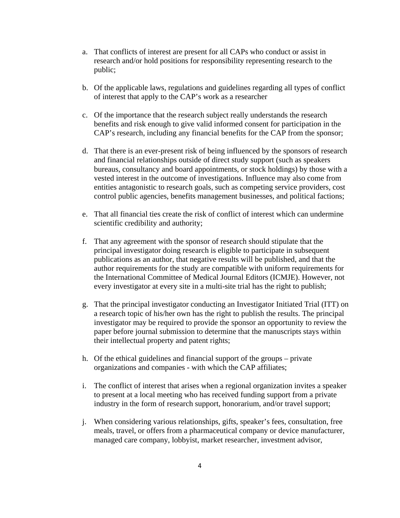- a. That conflicts of interest are present for all CAPs who conduct or assist in research and/or hold positions for responsibility representing research to the public;
- b. Of the applicable laws, regulations and guidelines regarding all types of conflict of interest that apply to the CAP's work as a researcher
- c. Of the importance that the research subject really understands the research benefits and risk enough to give valid informed consent for participation in the CAP's research, including any financial benefits for the CAP from the sponsor;
- d. That there is an ever-present risk of being influenced by the sponsors of research and financial relationships outside of direct study support (such as speakers bureaus, consultancy and board appointments, or stock holdings) by those with a vested interest in the outcome of investigations. Influence may also come from entities antagonistic to research goals, such as competing service providers, cost control public agencies, benefits management businesses, and political factions;
- e. That all financial ties create the risk of conflict of interest which can undermine scientific credibility and authority;
- f. That any agreement with the sponsor of research should stipulate that the principal investigator doing research is eligible to participate in subsequent publications as an author, that negative results will be published, and that the author requirements for the study are compatible with uniform requirements for the International Committee of Medical Journal Editors (ICMJE). However, not every investigator at every site in a multi-site trial has the right to publish;
- g. That the principal investigator conducting an Investigator Initiated Trial (ITT) on a research topic of his/her own has the right to publish the results. The principal investigator may be required to provide the sponsor an opportunity to review the paper before journal submission to determine that the manuscripts stays within their intellectual property and patent rights;
- h. Of the ethical guidelines and financial support of the groups private organizations and companies - with which the CAP affiliates;
- i. The conflict of interest that arises when a regional organization invites a speaker to present at a local meeting who has received funding support from a private industry in the form of research support, honorarium, and/or travel support;
- j. When considering various relationships, gifts, speaker's fees, consultation, free meals, travel, or offers from a pharmaceutical company or device manufacturer, managed care company, lobbyist, market researcher, investment advisor,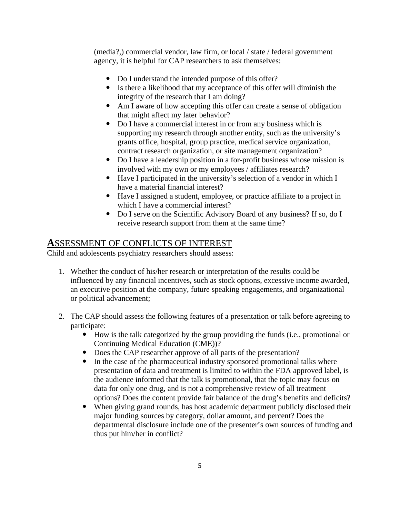(media?,) commercial vendor, law firm, or local / state / federal government agency, it is helpful for CAP researchers to ask themselves:

- Do I understand the intended purpose of this offer?
- Is there a likelihood that my acceptance of this offer will diminish the integrity of the research that I am doing?
- Am I aware of how accepting this offer can create a sense of obligation that might affect my later behavior?
- Do I have a commercial interest in or from any business which is supporting my research through another entity, such as the university's grants office, hospital, group practice, medical service organization, contract research organization, or site management organization?
- Do I have a leadership position in a for-profit business whose mission is involved with my own or my employees / affiliates research?
- Have I participated in the university's selection of a vendor in which I have a material financial interest?
- y Have I assigned a student, employee, or practice affiliate to a project in which I have a commercial interest?
- Do I serve on the Scientific Advisory Board of any business? If so, do I receive research support from them at the same time?

## **A**SSESSMENT OF CONFLICTS OF INTEREST

Child and adolescents psychiatry researchers should assess:

- 1. Whether the conduct of his/her research or interpretation of the results could be influenced by any financial incentives, such as stock options, excessive income awarded, an executive position at the company, future speaking engagements, and organizational or political advancement;
- 2. The CAP should assess the following features of a presentation or talk before agreeing to participate:
	- How is the talk categorized by the group providing the funds (i.e., promotional or Continuing Medical Education (CME))?
	- Does the CAP researcher approve of all parts of the presentation?
	- In the case of the pharmaceutical industry sponsored promotional talks where presentation of data and treatment is limited to within the FDA approved label, is the audience informed that the talk is promotional, that the topic may focus on data for only one drug, and is not a comprehensive review of all treatment options? Does the content provide fair balance of the drug's benefits and deficits?
	- When giving grand rounds, has host academic department publicly disclosed their major funding sources by category, dollar amount, and percent? Does the departmental disclosure include one of the presenter's own sources of funding and thus put him/her in conflict?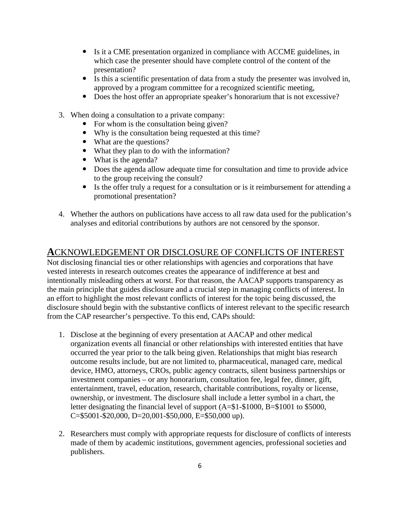- y Is it a CME presentation organized in compliance with ACCME guidelines, in which case the presenter should have complete control of the content of the presentation?
- Is this a scientific presentation of data from a study the presenter was involved in, approved by a program committee for a recognized scientific meeting,
- Does the host offer an appropriate speaker's honorarium that is not excessive?
- 3. When doing a consultation to a private company:
	- $\bullet$  For whom is the consultation being given?
	- Why is the consultation being requested at this time?
	- What are the questions?
	- What they plan to do with the information?
	- $\bullet$  What is the agenda?
	- Does the agenda allow adequate time for consultation and time to provide advice to the group receiving the consult?
	- Is the offer truly a request for a consultation or is it reimbursement for attending a promotional presentation?
- 4. Whether the authors on publications have access to all raw data used for the publication's analyses and editorial contributions by authors are not censored by the sponsor.

#### **A**CKNOWLEDGEMENT OR DISCLOSURE OF CONFLICTS OF INTEREST

Not disclosing financial ties or other relationships with agencies and corporations that have vested interests in research outcomes creates the appearance of indifference at best and intentionally misleading others at worst. For that reason, the AACAP supports transparency as the main principle that guides disclosure and a crucial step in managing conflicts of interest. In an effort to highlight the most relevant conflicts of interest for the topic being discussed, the disclosure should begin with the substantive conflicts of interest relevant to the specific research from the CAP researcher's perspective. To this end, CAPs should:

- 1. Disclose at the beginning of every presentation at AACAP and other medical organization events all financial or other relationships with interested entities that have occurred the year prior to the talk being given. Relationships that might bias research outcome results include, but are not limited to, pharmaceutical, managed care, medical device, HMO, attorneys, CROs, public agency contracts, silent business partnerships or investment companies – or any honorarium, consultation fee, legal fee, dinner, gift, entertainment, travel, education, research, charitable contributions, royalty or license, ownership, or investment. The disclosure shall include a letter symbol in a chart, the letter designating the financial level of support (A=\$1-\$1000, B=\$1001 to \$5000, C=\$5001-\$20,000, D=20,001-\$50,000, E=\$50,000 up).
- 2. Researchers must comply with appropriate requests for disclosure of conflicts of interests made of them by academic institutions, government agencies, professional societies and publishers.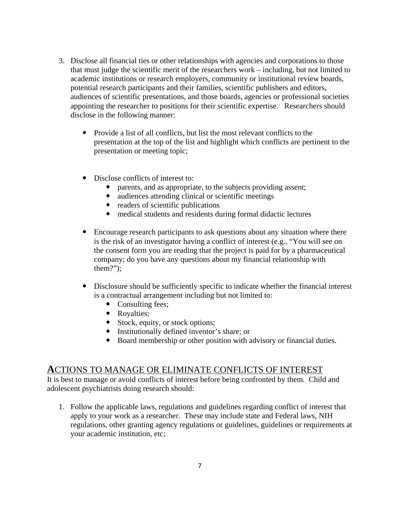- 3. Disclose all financial ties or other relationships with agencies and corporations to those that must judge the scientific merit of the researchers work – including, but not limited to academic institutions or research employers, community or institutional review boards, potential research participants and their families, scientific publishers and editors, audiences of scientific presentations, and those boards, agencies or professional societies appointing the researcher to positions for their scientific expertise. Researchers should disclose in the following manner:
	- Provide a list of all conflicts, but list the most relevant conflicts to the presentation at the top of the list and highlight which conflicts are pertinent to the presentation or meeting topic;
	- Disclose conflicts of interest to:
		- parents, and as appropriate, to the subjects providing assent;
		- audiences attending clinical or scientific meetings
		- $\bullet$  readers of scientific publications
		- medical students and residents during formal didactic lectures
	- Encourage research participants to ask questions about any situation where there is the risk of an investigator having a conflict of interest (e.g., "You will see on the consent form you are reading that the project is paid for by a pharmaceutical company; do you have any questions about my financial relationship with them?");
	- Disclosure should be sufficiently specific to indicate whether the financial interest is a contractual arrangement including but not limited to:
		- Consulting fees;
		- Royalties;
		- Stock, equity, or stock options;
		- Institutionally defined inventor's share; or
		- Board membership or other position with advisory or financial duties.

#### **A**CTIONS TO MANAGE OR ELIMINATE CONFLICTS OF INTEREST

It is best to manage or avoid conflicts of interest before being confronted by them. Child and adolescent psychiatrists doing research should:

1. Follow the applicable laws, regulations and guidelines regarding conflict of interest that apply to your work as a researcher. These may include state and Federal laws, NIH regulations, other granting agency regulations or guidelines, guidelines or requirements at your academic institution, etc;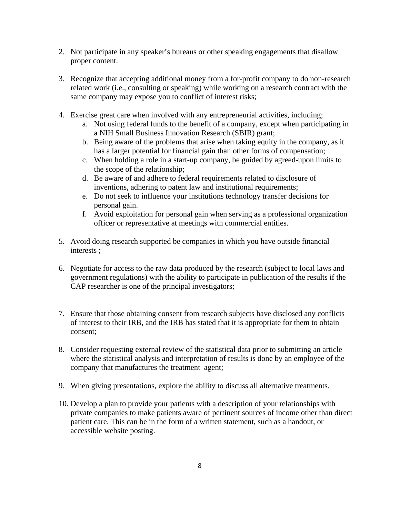- 2. Not participate in any speaker's bureaus or other speaking engagements that disallow proper content.
- 3. Recognize that accepting additional money from a for-profit company to do non-research related work (i.e., consulting or speaking) while working on a research contract with the same company may expose you to conflict of interest risks;
- 4. Exercise great care when involved with any entrepreneurial activities, including;
	- a. Not using federal funds to the benefit of a company, except when participating in a NIH Small Business Innovation Research (SBIR) grant;
	- b. Being aware of the problems that arise when taking equity in the company, as it has a larger potential for financial gain than other forms of compensation;
	- c. When holding a role in a start-up company, be guided by agreed-upon limits to the scope of the relationship;
	- d. Be aware of and adhere to federal requirements related to disclosure of inventions, adhering to patent law and institutional requirements;
	- e. Do not seek to influence your institutions technology transfer decisions for personal gain.
	- f. Avoid exploitation for personal gain when serving as a professional organization officer or representative at meetings with commercial entities.
- 5. Avoid doing research supported be companies in which you have outside financial interests ;
- 6. Negotiate for access to the raw data produced by the research (subject to local laws and government regulations) with the ability to participate in publication of the results if the CAP researcher is one of the principal investigators;
- 7. Ensure that those obtaining consent from research subjects have disclosed any conflicts of interest to their IRB, and the IRB has stated that it is appropriate for them to obtain consent;
- 8. Consider requesting external review of the statistical data prior to submitting an article where the statistical analysis and interpretation of results is done by an employee of the company that manufactures the treatment agent;
- 9. When giving presentations, explore the ability to discuss all alternative treatments.
- 10. Develop a plan to provide your patients with a description of your relationships with private companies to make patients aware of pertinent sources of income other than direct patient care. This can be in the form of a written statement, such as a handout, or accessible website posting.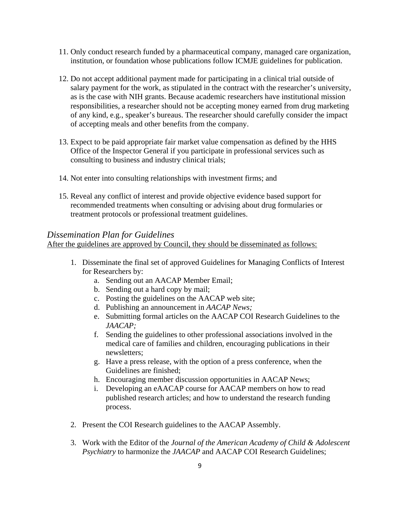- 11. Only conduct research funded by a pharmaceutical company, managed care organization, institution, or foundation whose publications follow ICMJE guidelines for publication.
- 12. Do not accept additional payment made for participating in a clinical trial outside of salary payment for the work, as stipulated in the contract with the researcher's university, as is the case with NIH grants. Because academic researchers have institutional mission responsibilities, a researcher should not be accepting money earned from drug marketing of any kind, e.g., speaker's bureaus. The researcher should carefully consider the impact of accepting meals and other benefits from the company.
- 13. Expect to be paid appropriate fair market value compensation as defined by the HHS Office of the Inspector General if you participate in professional services such as consulting to business and industry clinical trials;
- 14. Not enter into consulting relationships with investment firms; and
- 15. Reveal any conflict of interest and provide objective evidence based support for recommended treatments when consulting or advising about drug formularies or treatment protocols or professional treatment guidelines.

#### *Dissemination Plan for Guidelines*

After the guidelines are approved by Council, they should be disseminated as follows:

- 1. Disseminate the final set of approved Guidelines for Managing Conflicts of Interest for Researchers by:
	- a. Sending out an AACAP Member Email;
	- b. Sending out a hard copy by mail;
	- c. Posting the guidelines on the AACAP web site;
	- d. Publishing an announcement in *AACAP News;*
	- e. Submitting formal articles on the AACAP COI Research Guidelines to the *JAACAP;*
	- f. Sending the guidelines to other professional associations involved in the medical care of families and children, encouraging publications in their newsletters;
	- g. Have a press release, with the option of a press conference, when the Guidelines are finished;
	- h. Encouraging member discussion opportunities in AACAP News;
	- i. Developing an eAACAP course for AACAP members on how to read published research articles; and how to understand the research funding process.
- 2. Present the COI Research guidelines to the AACAP Assembly.
- 3. Work with the Editor of the *Journal of the American Academy of Child & Adolescent Psychiatry* to harmonize the *JAACAP* and AACAP COI Research Guidelines;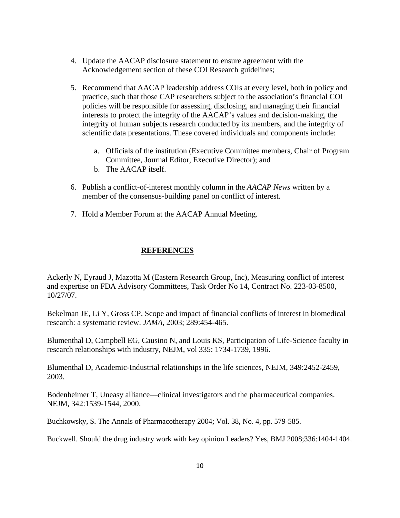- 4. Update the AACAP disclosure statement to ensure agreement with the Acknowledgement section of these COI Research guidelines;
- 5. Recommend that AACAP leadership address COIs at every level, both in policy and practice, such that those CAP researchers subject to the association's financial COI policies will be responsible for assessing, disclosing, and managing their financial interests to protect the integrity of the AACAP's values and decision-making, the integrity of human subjects research conducted by its members, and the integrity of scientific data presentations. These covered individuals and components include:
	- a. Officials of the institution (Executive Committee members, Chair of Program Committee, Journal Editor, Executive Director); and
	- b. The AACAP itself.
- 6. Publish a conflict-of-interest monthly column in the *AACAP News* written by a member of the consensus-building panel on conflict of interest.
- 7. Hold a Member Forum at the AACAP Annual Meeting.

#### **REFERENCES**

Ackerly N, Eyraud J, Mazotta M (Eastern Research Group, Inc), Measuring conflict of interest and expertise on FDA Advisory Committees, Task Order No 14, Contract No. 223-03-8500, 10/27/07.

Bekelman JE, Li Y, Gross CP. Scope and impact of financial conflicts of interest in biomedical research: a systematic review. *JAMA,* 2003; 289:454-465.

Blumenthal D, Campbell EG, Causino N, and Louis KS, Participation of Life-Science faculty in research relationships with industry, NEJM, vol 335: 1734-1739, 1996.

Blumenthal D, Academic-Industrial relationships in the life sciences, NEJM, 349:2452-2459, 2003.

Bodenheimer T, Uneasy alliance—clinical investigators and the pharmaceutical companies. NEJM, 342:1539-1544, 2000.

Buchkowsky, S. The Annals of Pharmacotherapy 2004; Vol. 38, No. 4, pp. 579-585.

Buckwell. Should the drug industry work with key opinion Leaders? Yes, BMJ 2008;336:1404-1404.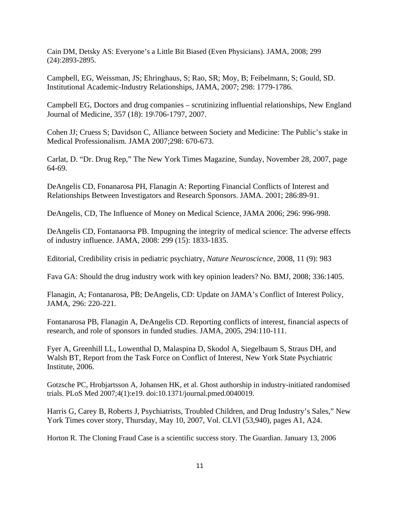Cain DM, Detsky AS: Everyone's a Little Bit Biased (Even Physicians). JAMA, 2008; 299 (24):2893-2895.

Campbell, EG, Weissman, JS; Ehringhaus, S; Rao, SR; Moy, B; Feibelmann, S; Gould, SD. Institutional Academic-Industry Relationships, JAMA, 2007; 298: 1779-1786.

Campbell EG, Doctors and drug companies – scrutinizing influential relationships, New England Journal of Medicine, 357 (18): 19\706-1797, 2007.

Cohen JJ; Cruess S; Davidson C, Alliance between Society and Medicine: The Public's stake in Medical Professionalism. JAMA 2007;298: 670-673.

Carlat, D. "Dr. Drug Rep," The New York Times Magazine, Sunday, November 28, 2007, page 64-69.

DeAngelis CD, Fonanarosa PH, Flanagin A: Reporting Financial Conflicts of Interest and Relationships Between Investigators and Research Sponsors. JAMA. 2001; 286:89-91.

DeAngelis, CD, The Influence of Money on Medical Science, JAMA 2006; 296: 996-998.

DeAngelis CD, Fontanaorsa PB. Impugning the integrity of medical science: The adverse effects of industry influence. JAMA, 2008: 299 (15): 1833-1835.

Editorial, Credibility crisis in pediatric psychiatry, *Nature Neuroscicnce,* 2008, 11 (9): 983

Fava GA: Should the drug industry work with key opinion leaders? No. BMJ, 2008; 336:1405.

Flanagin, A; Fontanarosa, PB; DeAngelis, CD: Update on JAMA's Conflict of Interest Policy, JAMA, 296: 220-221.

Fontanarosa PB, Flanagin A, DeAngelis CD. Reporting conflicts of interest, financial aspects of research, and role of sponsors in funded studies. JAMA, 2005, 294:110-111.

Fyer A, Greenhill LL, Lowenthal D, Malaspina D, Skodol A, Siegelbaum S, Straus DH, and Walsh BT, Report from the Task Force on Conflict of Interest, New York State Psychiatric Institute, 2006.

Gotzsche PC, Hrobjartsson A, Johansen HK, et al. Ghost authorship in industry-initiated randomised trials. PLoS Med 2007;4(1):e19. doi:10.1371/journal.pmed.0040019.

Harris G, Carey B, Roberts J, Psychiatrists, Troubled Children, and Drug Industry's Sales," New York Times cover story, Thursday, May 10, 2007, Vol. CLVI (53,940), pages A1, A24.

Horton R. The Cloning Fraud Case is a scientific success story. The Guardian. January 13, 2006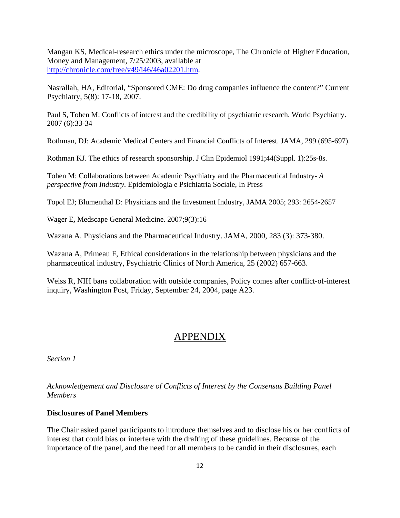Mangan KS, Medical-research ethics under the microscope, The Chronicle of Higher Education, Money and Management, 7/25/2003, available at http://chronicle.com/free/v49/i46/46a02201.htm.

Nasrallah, HA, Editorial, "Sponsored CME: Do drug companies influence the content?" Current Psychiatry, 5(8): 17-18, 2007.

Paul S, Tohen M: Conflicts of interest and the credibility of psychiatric research. World Psychiatry. 2007 (6):33-34

Rothman, DJ: Academic Medical Centers and Financial Conflicts of Interest. JAMA, 299 (695-697).

Rothman KJ. The ethics of research sponsorship. J Clin Epidemiol 1991;44(Suppl. 1):25s-8s.

Tohen M: Collaborations between Academic Psychiatry and the Pharmaceutical Industry**-** *A perspective from Industry.* Epidemiologia e Psichiatria Sociale, In Press

Topol EJ; Blumenthal D: Physicians and the Investment Industry, JAMA 2005; 293: 2654-2657

Wager E**,** Medscape General Medicine. 2007;9(3):16

Wazana A. Physicians and the Pharmaceutical Industry. JAMA, 2000, 283 (3): 373-380.

Wazana A, Primeau F, Ethical considerations in the relationship between physicians and the pharmaceutical industry, Psychiatric Clinics of North America, 25 (2002) 657-663.

Weiss R, NIH bans collaboration with outside companies, Policy comes after conflict-of-interest inquiry, Washington Post, Friday, September 24, 2004, page A23.

### APPENDIX

*Section 1* 

*Acknowledgement and Disclosure of Conflicts of Interest by the Consensus Building Panel Members* 

#### **Disclosures of Panel Members**

The Chair asked panel participants to introduce themselves and to disclose his or her conflicts of interest that could bias or interfere with the drafting of these guidelines. Because of the importance of the panel, and the need for all members to be candid in their disclosures, each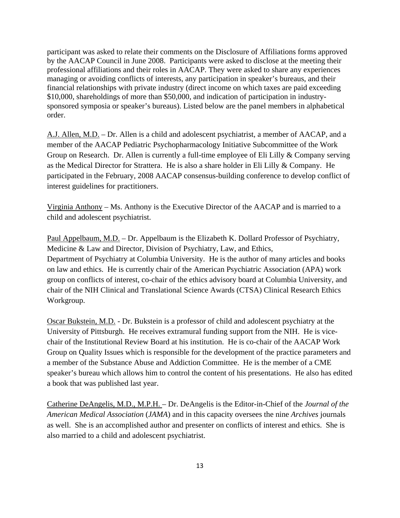participant was asked to relate their comments on the Disclosure of Affiliations forms approved by the AACAP Council in June 2008. Participants were asked to disclose at the meeting their professional affiliations and their roles in AACAP. They were asked to share any experiences managing or avoiding conflicts of interests, any participation in speaker's bureaus, and their financial relationships with private industry (direct income on which taxes are paid exceeding \$10,000, shareholdings of more than \$50,000, and indication of participation in industrysponsored symposia or speaker's bureaus). Listed below are the panel members in alphabetical order.

A.J. Allen, M.D. – Dr. Allen is a child and adolescent psychiatrist, a member of AACAP, and a member of the AACAP Pediatric Psychopharmacology Initiative Subcommittee of the Work Group on Research. Dr. Allen is currently a full-time employee of Eli Lilly & Company serving as the Medical Director for Strattera. He is also a share holder in Eli Lilly & Company. He participated in the February, 2008 AACAP consensus-building conference to develop conflict of interest guidelines for practitioners.

Virginia Anthony – Ms. Anthony is the Executive Director of the AACAP and is married to a child and adolescent psychiatrist.

Paul Appelbaum, M.D. – Dr. Appelbaum is the Elizabeth K. Dollard Professor of Psychiatry, Medicine & Law and Director, Division of Psychiatry, Law, and Ethics, Department of Psychiatry at Columbia University. He is the author of many articles and books on law and ethics. He is currently chair of the American Psychiatric Association (APA) work group on conflicts of interest, co-chair of the ethics advisory board at Columbia University, and chair of the NIH Clinical and Translational Science Awards (CTSA) Clinical Research Ethics Workgroup.

Oscar Bukstein, M.D. - Dr. Bukstein is a professor of child and adolescent psychiatry at the University of Pittsburgh. He receives extramural funding support from the NIH. He is vicechair of the Institutional Review Board at his institution. He is co-chair of the AACAP Work Group on Quality Issues which is responsible for the development of the practice parameters and a member of the Substance Abuse and Addiction Committee. He is the member of a CME speaker's bureau which allows him to control the content of his presentations. He also has edited a book that was published last year.

Catherine DeAngelis, M.D., M.P.H. – Dr. DeAngelis is the Editor-in-Chief of the *Journal of the American Medical Association* (*JAMA*) and in this capacity oversees the nine *Archives* journals as well. She is an accomplished author and presenter on conflicts of interest and ethics. She is also married to a child and adolescent psychiatrist.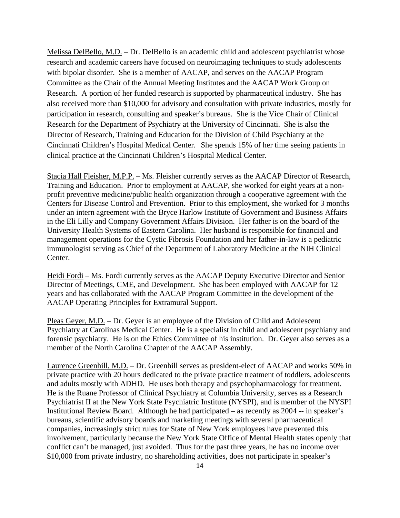Melissa DelBello, M.D. – Dr. DelBello is an academic child and adolescent psychiatrist whose research and academic careers have focused on neuroimaging techniques to study adolescents with bipolar disorder. She is a member of AACAP, and serves on the AACAP Program Committee as the Chair of the Annual Meeting Institutes and the AACAP Work Group on Research. A portion of her funded research is supported by pharmaceutical industry. She has also received more than \$10,000 for advisory and consultation with private industries, mostly for participation in research, consulting and speaker's bureaus. She is the Vice Chair of Clinical Research for the Department of Psychiatry at the University of Cincinnati. She is also the Director of Research, Training and Education for the Division of Child Psychiatry at the Cincinnati Children's Hospital Medical Center. She spends 15% of her time seeing patients in clinical practice at the Cincinnati Children's Hospital Medical Center.

Stacia Hall Fleisher, M.P.P. – Ms. Fleisher currently serves as the AACAP Director of Research, Training and Education. Prior to employment at AACAP, she worked for eight years at a nonprofit preventive medicine/public health organization through a cooperative agreement with the Centers for Disease Control and Prevention. Prior to this employment, she worked for 3 months under an intern agreement with the Bryce Harlow Institute of Government and Business Affairs in the Eli Lilly and Company Government Affairs Division. Her father is on the board of the University Health Systems of Eastern Carolina. Her husband is responsible for financial and management operations for the Cystic Fibrosis Foundation and her father-in-law is a pediatric immunologist serving as Chief of the Department of Laboratory Medicine at the NIH Clinical Center.

Heidi Fordi – Ms. Fordi currently serves as the AACAP Deputy Executive Director and Senior Director of Meetings, CME, and Development. She has been employed with AACAP for 12 years and has collaborated with the AACAP Program Committee in the development of the AACAP Operating Principles for Extramural Support.

Pleas Geyer, M.D. – Dr. Geyer is an employee of the Division of Child and Adolescent Psychiatry at Carolinas Medical Center. He is a specialist in child and adolescent psychiatry and forensic psychiatry. He is on the Ethics Committee of his institution. Dr. Geyer also serves as a member of the North Carolina Chapter of the AACAP Assembly.

Laurence Greenhill, M.D. – Dr. Greenhill serves as president-elect of AACAP and works 50% in private practice with 20 hours dedicated to the private practice treatment of toddlers, adolescents and adults mostly with ADHD. He uses both therapy and psychopharmacology for treatment. He is the Ruane Professor of Clinical Psychiatry at Columbia University, serves as a Research Psychiatrist II at the New York State Psychiatric Institute (NYSPI), and is member of the NYSPI Institutional Review Board. Although he had participated – as recently as 2004 -- in speaker's bureaus, scientific advisory boards and marketing meetings with several pharmaceutical companies, increasingly strict rules for State of New York employees have prevented this involvement, particularly because the New York State Office of Mental Health states openly that conflict can't be managed, just avoided. Thus for the past three years, he has no income over \$10,000 from private industry, no shareholding activities, does not participate in speaker's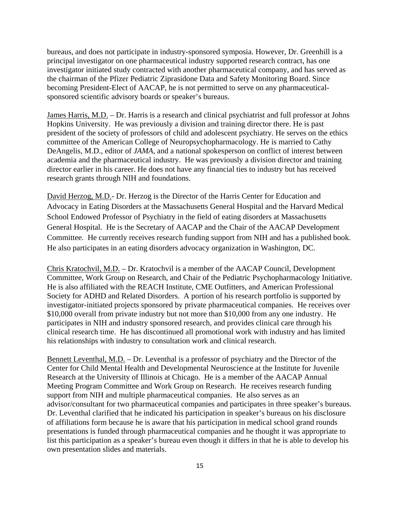bureaus, and does not participate in industry-sponsored symposia. However, Dr. Greenhill is a principal investigator on one pharmaceutical industry supported research contract, has one investigator initiated study contracted with another pharmaceutical company, and has served as the chairman of the Pfizer Pediatric Ziprasidone Data and Safety Monitoring Board. Since becoming President-Elect of AACAP, he is not permitted to serve on any pharmaceuticalsponsored scientific advisory boards or speaker's bureaus.

James Harris, M.D. – Dr. Harris is a research and clinical psychiatrist and full professor at Johns Hopkins University. He was previously a division and training director there. He is past president of the society of professors of child and adolescent psychiatry. He serves on the ethics committee of the American College of Neuropsychopharmacology. He is married to Cathy DeAngelis, M.D., editor of *JAMA*, and a national spokesperson on conflict of interest between academia and the pharmaceutical industry. He was previously a division director and training director earlier in his career. He does not have any financial ties to industry but has received research grants through NIH and foundations.

David Herzog, M.D.- Dr. Herzog is the Director of the Harris Center for Education and Advocacy in Eating Disorders at the Massachusetts General Hospital and the Harvard Medical School Endowed Professor of Psychiatry in the field of eating disorders at Massachusetts General Hospital. He is the Secretary of AACAP and the Chair of the AACAP Development Committee. He currently receives research funding support from NIH and has a published book. He also participates in an eating disorders advocacy organization in Washington, DC.

Chris Kratochvil, M.D. – Dr. Kratochvil is a member of the AACAP Council, Development Committee, Work Group on Research, and Chair of the Pediatric Psychopharmacology Initiative. He is also affiliated with the REACH Institute, CME Outfitters, and American Professional Society for ADHD and Related Disorders. A portion of his research portfolio is supported by investigator-initiated projects sponsored by private pharmaceutical companies. He receives over \$10,000 overall from private industry but not more than \$10,000 from any one industry. He participates in NIH and industry sponsored research, and provides clinical care through his clinical research time. He has discontinued all promotional work with industry and has limited his relationships with industry to consultation work and clinical research.

Bennett Leventhal, M.D. – Dr. Leventhal is a professor of psychiatry and the Director of the Center for Child Mental Health and Developmental Neuroscience at the Institute for Juvenile Research at the University of Illinois at Chicago. He is a member of the AACAP Annual Meeting Program Committee and Work Group on Research. He receives research funding support from NIH and multiple pharmaceutical companies. He also serves as an advisor/consultant for two pharmaceutical companies and participates in three speaker's bureaus. Dr. Leventhal clarified that he indicated his participation in speaker's bureaus on his disclosure of affiliations form because he is aware that his participation in medical school grand rounds presentations is funded through pharmaceutical companies and he thought it was appropriate to list this participation as a speaker's bureau even though it differs in that he is able to develop his own presentation slides and materials.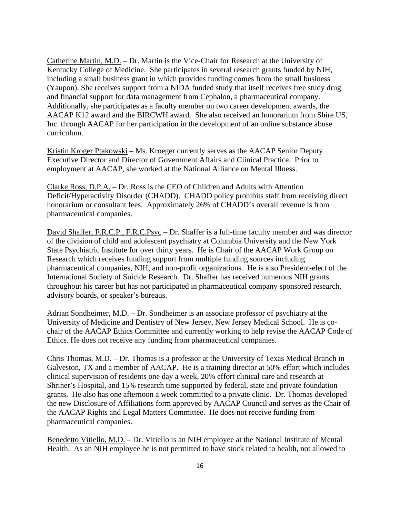Catherine Martin, M.D. – Dr. Martin is the Vice-Chair for Research at the University of Kentucky College of Medicine. She participates in several research grants funded by NIH, including a small business grant in which provides funding comes from the small business (Yaupon). She receives support from a NIDA funded study that itself receives free study drug and financial support for data management from Cephalon, a pharmaceutical company. Additionally, she participates as a faculty member on two career development awards, the AACAP K12 award and the BIRCWH award. She also received an honorarium from Shire US, Inc. through AACAP for her participation in the development of an online substance abuse curriculum.

Kristin Kroger Ptakowski – Ms. Kroeger currently serves as the AACAP Senior Deputy Executive Director and Director of Government Affairs and Clinical Practice. Prior to employment at AACAP, she worked at the National Alliance on Mental Illness.

Clarke Ross, D.P.A. – Dr. Ross is the CEO of Children and Adults with Attention Deficit/Hyperactivity Disorder (CHADD). CHADD policy prohibits staff from receiving direct honorarium or consultant fees. Approximately 26% of CHADD's overall revenue is from pharmaceutical companies.

David Shaffer, F.R.C.P., F.R.C.Psyc – Dr. Shaffer is a full-time faculty member and was director of the division of child and adolescent psychiatry at Columbia University and the New York State Psychiatric Institute for over thirty years. He is Chair of the AACAP Work Group on Research which receives funding support from multiple funding sources including pharmaceutical companies, NIH, and non-profit organizations. He is also President-elect of the International Society of Suicide Research. Dr. Shaffer has received numerous NIH grants throughout his career but has not participated in pharmaceutical company sponsored research, advisory boards, or speaker's bureaus.

Adrian Sondheimer, M.D. – Dr. Sondheimer is an associate professor of psychiatry at the University of Medicine and Dentistry of New Jersey, New Jersey Medical School. He is cochair of the AACAP Ethics Committee and currently working to help revise the AACAP Code of Ethics. He does not receive any funding from pharmaceutical companies.

Chris Thomas, M.D. – Dr. Thomas is a professor at the University of Texas Medical Branch in Galveston, TX and a member of AACAP. He is a training director at 50% effort which includes clinical supervision of residents one day a week, 20% effort clinical care and research at Shriner's Hospital, and 15% research time supported by federal, state and private foundation grants. He also has one afternoon a week committed to a private clinic. Dr. Thomas developed the new Disclosure of Affiliations form approved by AACAP Council and serves as the Chair of the AACAP Rights and Legal Matters Committee. He does not receive funding from pharmaceutical companies.

Benedetto Vitiello, M.D. – Dr. Vitiello is an NIH employee at the National Institute of Mental Health. As an NIH employee he is not permitted to have stock related to health, not allowed to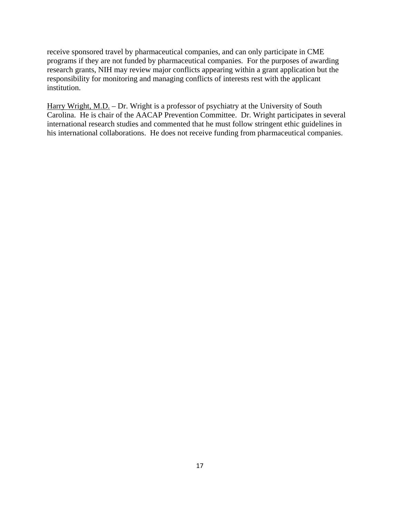receive sponsored travel by pharmaceutical companies, and can only participate in CME programs if they are not funded by pharmaceutical companies. For the purposes of awarding research grants, NIH may review major conflicts appearing within a grant application but the responsibility for monitoring and managing conflicts of interests rest with the applicant institution.

Harry Wright, M.D. – Dr. Wright is a professor of psychiatry at the University of South Carolina. He is chair of the AACAP Prevention Committee. Dr. Wright participates in several international research studies and commented that he must follow stringent ethic guidelines in his international collaborations. He does not receive funding from pharmaceutical companies.